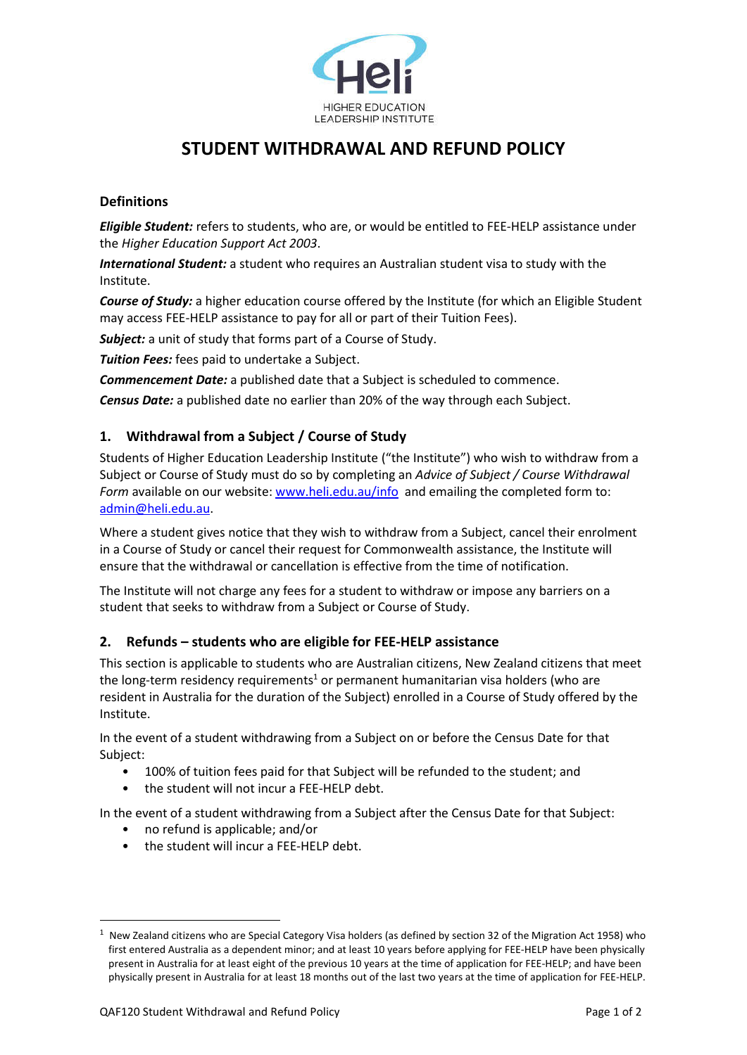

# **STUDENT WITHDRAWAL AND REFUND POLICY**

## **Definitions**

*Eligible Student:* refers to students, who are, or would be entitled to FEE-HELP assistance under the *Higher Education Support Act 2003*.

*International Student:* a student who requires an Australian student visa to study with the Institute.

*Course of Study:* a higher education course offered by the Institute (for which an Eligible Student may access FEE-HELP assistance to pay for all or part of their Tuition Fees).

*Subject:* a unit of study that forms part of a Course of Study.

*Tuition Fees:* fees paid to undertake a Subject.

*Commencement Date:* a published date that a Subject is scheduled to commence.

*Census Date:* a published date no earlier than 20% of the way through each Subject.

# **1. Withdrawal from a Subject / Course of Study**

Students of Higher Education Leadership Institute ("the Institute") who wish to withdraw from a Subject or Course of Study must do so by completing an *Advice of Subject / Course Withdrawal* Form available on our website: www.heli.edu.au/info and emailing the completed form to: admin@heli.edu.au.

Where a student gives notice that they wish to withdraw from a Subject, cancel their enrolment in a Course of Study or cancel their request for Commonwealth assistance, the Institute will ensure that the withdrawal or cancellation is effective from the time of notification.

The Institute will not charge any fees for a student to withdraw or impose any barriers on a student that seeks to withdraw from a Subject or Course of Study.

## **2. Refunds – students who are eligible for FEE-HELP assistance**

This section is applicable to students who are Australian citizens, New Zealand citizens that meet the long-term residency requirements<sup>1</sup> or permanent humanitarian visa holders (who are resident in Australia for the duration of the Subject) enrolled in a Course of Study offered by the Institute.

In the event of a student withdrawing from a Subject on or before the Census Date for that Subject:

- 100% of tuition fees paid for that Subject will be refunded to the student; and
- the student will not incur a FEE-HELP debt.

In the event of a student withdrawing from a Subject after the Census Date for that Subject:

- no refund is applicable; and/or
- the student will incur a FEE-HELP debt.

<sup>1</sup> New Zealand citizens who are Special Category Visa holders (as defined by section 32 of the Migration Act 1958) who first entered Australia as a dependent minor; and at least 10 years before applying for FEE-HELP have been physically present in Australia for at least eight of the previous 10 years at the time of application for FEE-HELP; and have been physically present in Australia for at least 18 months out of the last two years at the time of application for FEE-HELP.